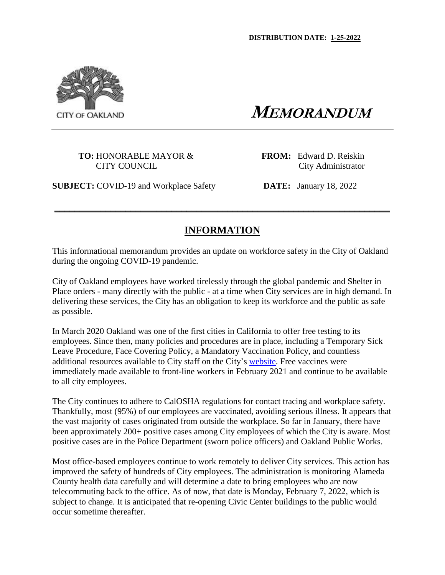

 **MEMORANDUM**

**TO:** HONORABLE MAYOR & **FROM:** Edward D. Reiskin

CITY COUNCIL CITY COUNCIL

**SUBJECT:** COVID-19 and Workplace Safety **DATE:** January 18, 2022

# **INFORMATION**

**\_\_\_\_\_\_\_\_\_\_\_\_\_\_\_\_\_\_\_\_\_\_\_\_\_\_\_\_\_\_\_\_\_\_\_\_\_\_\_\_\_\_\_\_\_\_\_\_\_\_\_\_\_\_\_\_\_\_\_\_\_\_\_\_\_\_**

This informational memorandum provides an update on workforce safety in the City of Oakland during the ongoing COVID-19 pandemic.

City of Oakland employees have worked tirelessly through the global pandemic and Shelter in Place orders - many directly with the public - at a time when City services are in high demand. In delivering these services, the City has an obligation to keep its workforce and the public as safe as possible.

In March 2020 Oakland was one of the first cities in California to offer free testing to its employees. Since then, many policies and procedures are in place, including a Temporary Sick Leave Procedure, Face Covering Policy, a Mandatory Vaccination Policy, and countless additional resources available to City staff on the City's website. Free vaccines were immediately made available to front-line workers in February 2021 and continue to be available to all city employees.

The City continues to adhere to CalOSHA regulations for contact tracing and workplace safety. Thankfully, most (95%) of our employees are vaccinated, avoiding serious illness. It appears that the vast majority of cases originated from outside the workplace. So far in January, there have been approximately 200+ positive cases among City employees of which the City is aware. Most positive cases are in the Police Department (sworn police officers) and Oakland Public Works.

Most office-based employees continue to work remotely to deliver City services. This action has improved the safety of hundreds of City employees. The administration is monitoring Alameda County health data carefully and will determine a date to bring employees who are now telecommuting back to the office. As of now, that date is Monday, February 7, 2022, which is subject to change. It is anticipated that re-opening Civic Center buildings to the public would occur sometime thereafter.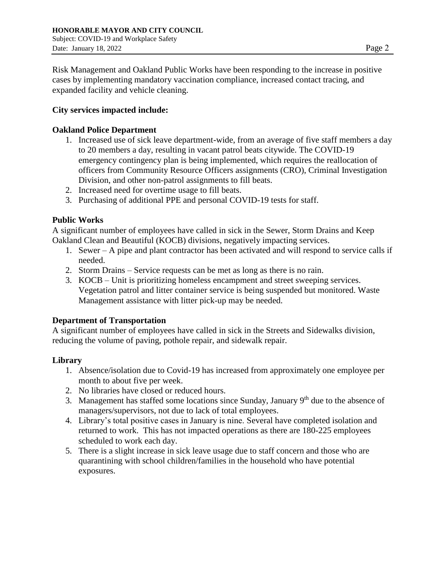Risk Management and Oakland Public Works have been responding to the increase in positive cases by implementing mandatory vaccination compliance, increased contact tracing, and expanded facility and vehicle cleaning.

## **City services impacted include:**

## **Oakland Police Department**

- 1. Increased use of sick leave department-wide, from an average of five staff members a day to 20 members a day, resulting in vacant patrol beats citywide. The COVID-19 emergency contingency plan is being implemented, which requires the reallocation of officers from Community Resource Officers assignments (CRO), Criminal Investigation Division, and other non-patrol assignments to fill beats.
- 2. Increased need for overtime usage to fill beats.
- 3. Purchasing of additional PPE and personal COVID-19 tests for staff.

# **Public Works**

A significant number of employees have called in sick in the Sewer, Storm Drains and Keep Oakland Clean and Beautiful (KOCB) divisions, negatively impacting services.

- 1. Sewer A pipe and plant contractor has been activated and will respond to service calls if needed.
- 2. Storm Drains Service requests can be met as long as there is no rain.
- 3. KOCB Unit is prioritizing homeless encampment and street sweeping services. Vegetation patrol and litter container service is being suspended but monitored. Waste Management assistance with litter pick-up may be needed.

### **Department of Transportation**

A significant number of employees have called in sick in the Streets and Sidewalks division, reducing the volume of paving, pothole repair, and sidewalk repair.

### **Library**

- 1. Absence/isolation due to Covid-19 has increased from approximately one employee per month to about five per week.
- 2. No libraries have closed or reduced hours.
- 3. Management has staffed some locations since Sunday, January  $9<sup>th</sup>$  due to the absence of managers/supervisors, not due to lack of total employees.
- 4. Library's total positive cases in January is nine. Several have completed isolation and returned to work. This has not impacted operations as there are 180-225 employees scheduled to work each day.
- 5. There is a slight increase in sick leave usage due to staff concern and those who are quarantining with school children/families in the household who have potential exposures.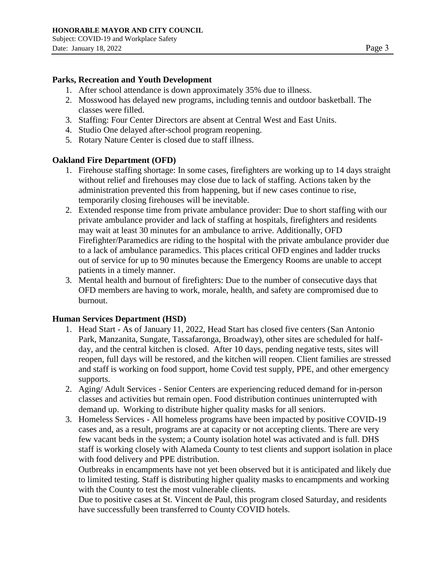#### **Parks, Recreation and Youth Development**

- 1. After school attendance is down approximately 35% due to illness.
- 2. Mosswood has delayed new programs, including tennis and outdoor basketball. The classes were filled.
- 3. Staffing: Four Center Directors are absent at Central West and East Units.
- 4. Studio One delayed after-school program reopening.
- 5. Rotary Nature Center is closed due to staff illness.

#### **Oakland Fire Department (OFD)**

- 1. Firehouse staffing shortage: In some cases, firefighters are working up to 14 days straight without relief and firehouses may close due to lack of staffing. Actions taken by the administration prevented this from happening, but if new cases continue to rise, temporarily closing firehouses will be inevitable.
- 2. Extended response time from private ambulance provider: Due to short staffing with our private ambulance provider and lack of staffing at hospitals, firefighters and residents may wait at least 30 minutes for an ambulance to arrive. Additionally, OFD Firefighter/Paramedics are riding to the hospital with the private ambulance provider due to a lack of ambulance paramedics. This places critical OFD engines and ladder trucks out of service for up to 90 minutes because the Emergency Rooms are unable to accept patients in a timely manner.
- 3. Mental health and burnout of firefighters: Due to the number of consecutive days that OFD members are having to work, morale, health, and safety are compromised due to burnout.

#### **Human Services Department (HSD)**

- 1. Head Start As of January 11, 2022, Head Start has closed five centers (San Antonio Park, Manzanita, Sungate, Tassafaronga, Broadway), other sites are scheduled for halfday, and the central kitchen is closed. After 10 days, pending negative tests, sites will reopen, full days will be restored, and the kitchen will reopen. Client families are stressed and staff is working on food support, home Covid test supply, PPE, and other emergency supports.
- 2. Aging/ Adult Services Senior Centers are experiencing reduced demand for in-person classes and activities but remain open. Food distribution continues uninterrupted with demand up. Working to distribute higher quality masks for all seniors.
- 3. Homeless Services All homeless programs have been impacted by positive COVID-19 cases and, as a result, programs are at capacity or not accepting clients. There are very few vacant beds in the system; a County isolation hotel was activated and is full. DHS staff is working closely with Alameda County to test clients and support isolation in place with food delivery and PPE distribution.

Outbreaks in encampments have not yet been observed but it is anticipated and likely due to limited testing. Staff is distributing higher quality masks to encampments and working with the County to test the most vulnerable clients.

Due to positive cases at St. Vincent de Paul, this program closed Saturday, and residents have successfully been transferred to County COVID hotels.